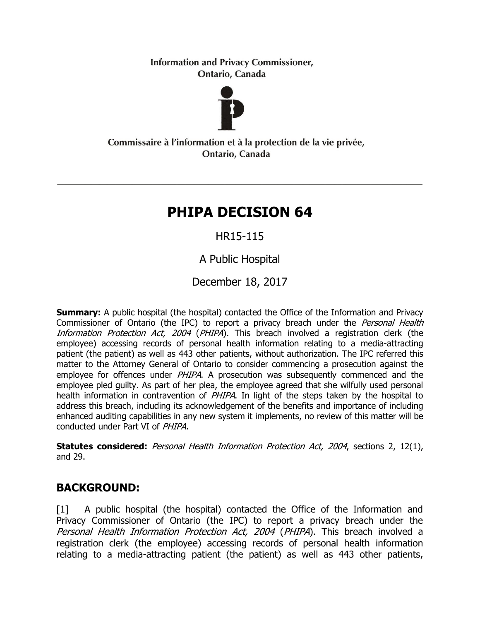**Information and Privacy Commissioner,** Ontario, Canada



Commissaire à l'information et à la protection de la vie privée, Ontario, Canada

# **PHIPA DECISION 64**

# HR15-115

A Public Hospital

December 18, 2017

**Summary:** A public hospital (the hospital) contacted the Office of the Information and Privacy Commissioner of Ontario (the IPC) to report a privacy breach under the Personal Health Information Protection Act, 2004 (PHIPA). This breach involved a registration clerk (the employee) accessing records of personal health information relating to a media-attracting patient (the patient) as well as 443 other patients, without authorization. The IPC referred this matter to the Attorney General of Ontario to consider commencing a prosecution against the employee for offences under *PHIPA*. A prosecution was subsequently commenced and the employee pled guilty. As part of her plea, the employee agreed that she wilfully used personal health information in contravention of PHIPA. In light of the steps taken by the hospital to address this breach, including its acknowledgement of the benefits and importance of including enhanced auditing capabilities in any new system it implements, no review of this matter will be conducted under Part VI of PHIPA.

Statutes considered: Personal Health Information Protection Act, 2004, sections 2, 12(1), and 29.

# **BACKGROUND:**

[1] A public hospital (the hospital) contacted the Office of the Information and Privacy Commissioner of Ontario (the IPC) to report a privacy breach under the Personal Health Information Protection Act, 2004 (PHIPA). This breach involved a registration clerk (the employee) accessing records of personal health information relating to a media-attracting patient (the patient) as well as 443 other patients,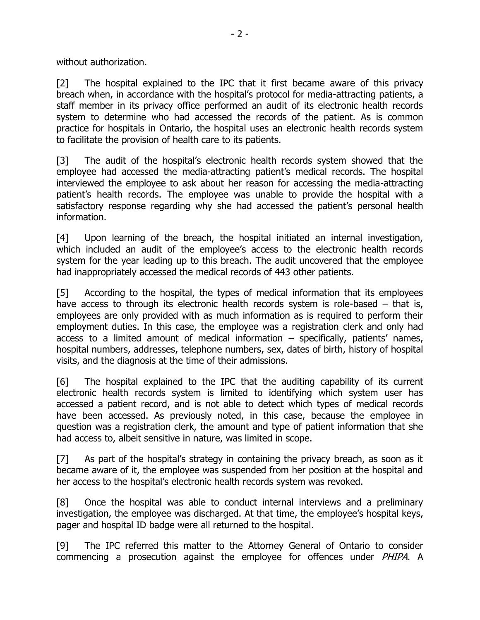without authorization.

[2] The hospital explained to the IPC that it first became aware of this privacy breach when, in accordance with the hospital's protocol for media-attracting patients, a staff member in its privacy office performed an audit of its electronic health records system to determine who had accessed the records of the patient. As is common practice for hospitals in Ontario, the hospital uses an electronic health records system to facilitate the provision of health care to its patients.

[3] The audit of the hospital's electronic health records system showed that the employee had accessed the media-attracting patient's medical records. The hospital interviewed the employee to ask about her reason for accessing the media-attracting patient's health records. The employee was unable to provide the hospital with a satisfactory response regarding why she had accessed the patient's personal health information.

[4] Upon learning of the breach, the hospital initiated an internal investigation, which included an audit of the employee's access to the electronic health records system for the year leading up to this breach. The audit uncovered that the employee had inappropriately accessed the medical records of 443 other patients.

[5] According to the hospital, the types of medical information that its employees have access to through its electronic health records system is role-based – that is, employees are only provided with as much information as is required to perform their employment duties. In this case, the employee was a registration clerk and only had access to a limited amount of medical information – specifically, patients' names, hospital numbers, addresses, telephone numbers, sex, dates of birth, history of hospital visits, and the diagnosis at the time of their admissions.

[6] The hospital explained to the IPC that the auditing capability of its current electronic health records system is limited to identifying which system user has accessed a patient record, and is not able to detect which types of medical records have been accessed. As previously noted, in this case, because the employee in question was a registration clerk, the amount and type of patient information that she had access to, albeit sensitive in nature, was limited in scope.

[7] As part of the hospital's strategy in containing the privacy breach, as soon as it became aware of it, the employee was suspended from her position at the hospital and her access to the hospital's electronic health records system was revoked.

[8] Once the hospital was able to conduct internal interviews and a preliminary investigation, the employee was discharged. At that time, the employee's hospital keys, pager and hospital ID badge were all returned to the hospital.

[9] The IPC referred this matter to the Attorney General of Ontario to consider commencing a prosecution against the employee for offences under PHIPA. A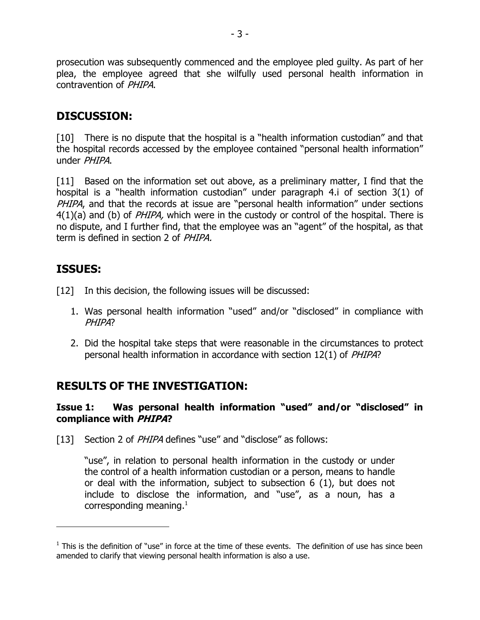prosecution was subsequently commenced and the employee pled guilty. As part of her plea, the employee agreed that she wilfully used personal health information in contravention of PHIPA.

### **DISCUSSION:**

[10] There is no dispute that the hospital is a "health information custodian" and that the hospital records accessed by the employee contained "personal health information" under PHIPA.

[11] Based on the information set out above, as a preliminary matter, I find that the hospital is a "health information custodian" under paragraph 4.i of section 3(1) of PHIPA, and that the records at issue are "personal health information" under sections  $4(1)(a)$  and (b) of *PHIPA*, which were in the custody or control of the hospital. There is no dispute, and I further find, that the employee was an "agent" of the hospital, as that term is defined in section 2 of PHIPA.

# **ISSUES:**

 $\overline{a}$ 

- [12] In this decision, the following issues will be discussed:
	- 1. Was personal health information "used" and/or "disclosed" in compliance with PH<sub>IPA?</sub>
	- 2. Did the hospital take steps that were reasonable in the circumstances to protect personal health information in accordance with section 12(1) of PHIPA?

# **RESULTS OF THE INVESTIGATION:**

#### **Issue 1: Was personal health information "used" and/or "disclosed" in compliance with PHIPA?**

[13] Section 2 of *PHIPA* defines "use" and "disclose" as follows:

"use", in relation to personal health information in the custody or under the control of a health information custodian or a person, means to handle or deal with the information, subject to subsection 6 (1), but does not include to disclose the information, and "use", as a noun, has a corresponding meaning.<sup>1</sup>

 $<sup>1</sup>$  This is the definition of "use" in force at the time of these events. The definition of use has since been</sup> amended to clarify that viewing personal health information is also a use.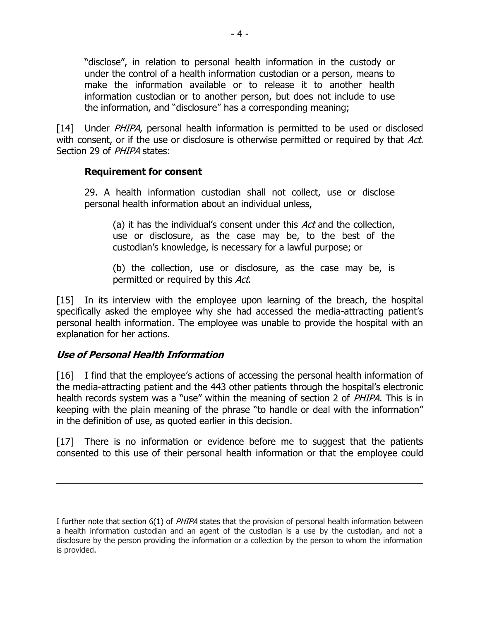"disclose", in relation to personal health information in the custody or under the control of a health information custodian or a person, means to make the information available or to release it to another health information custodian or to another person, but does not include to use the information, and "disclosure" has a corresponding meaning;

[14] Under *PHIPA*, personal health information is permitted to be used or disclosed with consent, or if the use or disclosure is otherwise permitted or required by that Act. Section 29 of *PHIPA* states:

#### **Requirement for consent**

29. A health information custodian shall not collect, use or disclose personal health information about an individual unless,

(a) it has the individual's consent under this Act and the collection, use or disclosure, as the case may be, to the best of the custodian's knowledge, is necessary for a lawful purpose; or

(b) the collection, use or disclosure, as the case may be, is permitted or required by this Act.

[15] In its interview with the employee upon learning of the breach, the hospital specifically asked the employee why she had accessed the media-attracting patient's personal health information. The employee was unable to provide the hospital with an explanation for her actions.

#### **Use of Personal Health Information**

 $\overline{a}$ 

[16] I find that the employee's actions of accessing the personal health information of the media-attracting patient and the 443 other patients through the hospital's electronic health records system was a "use" within the meaning of section 2 of *PHIPA*. This is in keeping with the plain meaning of the phrase "to handle or deal with the information" in the definition of use, as quoted earlier in this decision.

[17] There is no information or evidence before me to suggest that the patients consented to this use of their personal health information or that the employee could

I further note that section 6(1) of PHIPA states that the provision of personal health information between a health information custodian and an agent of the custodian is a use by the custodian, and not a disclosure by the person providing the information or a collection by the person to whom the information is provided.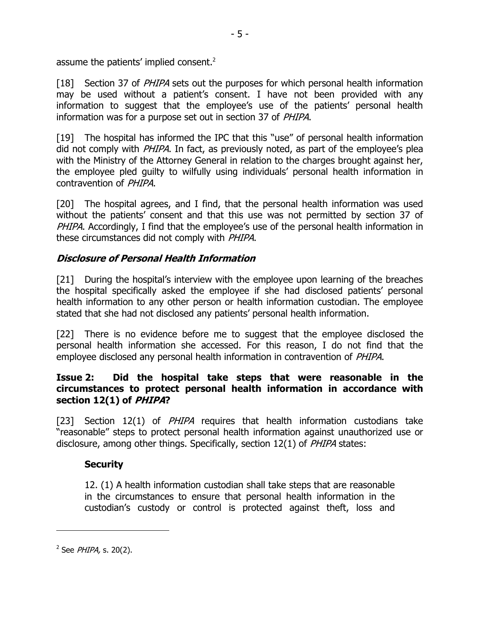assume the patients' implied consent.<sup>2</sup>

[18] Section 37 of *PHIPA* sets out the purposes for which personal health information may be used without a patient's consent. I have not been provided with any information to suggest that the employee's use of the patients' personal health information was for a purpose set out in section 37 of PHIPA.

[19] The hospital has informed the IPC that this "use" of personal health information did not comply with PHIPA. In fact, as previously noted, as part of the employee's plea with the Ministry of the Attorney General in relation to the charges brought against her, the employee pled guilty to wilfully using individuals' personal health information in contravention of PHIPA.

[20] The hospital agrees, and I find, that the personal health information was used without the patients' consent and that this use was not permitted by section 37 of PHIPA. Accordingly, I find that the employee's use of the personal health information in these circumstances did not comply with *PHIPA*.

#### **Disclosure of Personal Health Information**

[21] During the hospital's interview with the employee upon learning of the breaches the hospital specifically asked the employee if she had disclosed patients' personal health information to any other person or health information custodian. The employee stated that she had not disclosed any patients' personal health information.

[22] There is no evidence before me to suggest that the employee disclosed the personal health information she accessed. For this reason, I do not find that the employee disclosed any personal health information in contravention of PHIPA.

#### **Issue 2: Did the hospital take steps that were reasonable in the circumstances to protect personal health information in accordance with section 12(1) of PHIPA?**

[23] Section 12(1) of *PHIPA* requires that health information custodians take "reasonable" steps to protect personal health information against unauthorized use or disclosure, among other things. Specifically, section 12(1) of *PHIPA* states:

#### **Security**

12. (1) A health information custodian shall take steps that are reasonable in the circumstances to ensure that personal health information in the custodian's custody or control is protected against theft, loss and

 $\overline{a}$ 

<sup>&</sup>lt;sup>2</sup> See PHIPA, s. 20(2).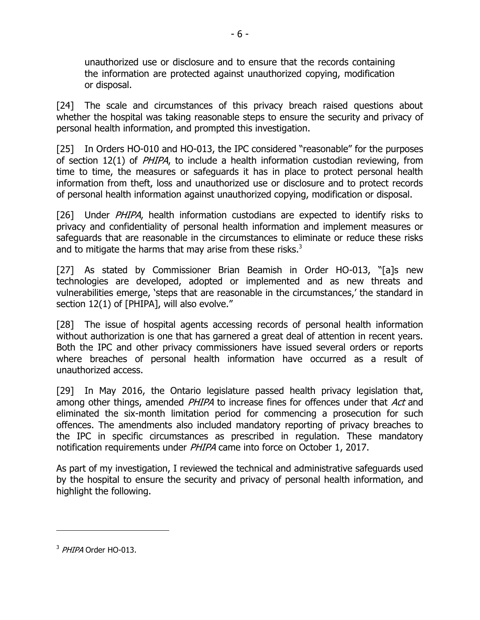unauthorized use or disclosure and to ensure that the records containing the information are protected against unauthorized copying, modification or disposal.

[24] The scale and circumstances of this privacy breach raised questions about whether the hospital was taking reasonable steps to ensure the security and privacy of personal health information, and prompted this investigation.

[25] In Orders HO-010 and HO-013, the IPC considered "reasonable" for the purposes of section 12(1) of *PHIPA*, to include a health information custodian reviewing, from time to time, the measures or safeguards it has in place to protect personal health information from theft, loss and unauthorized use or disclosure and to protect records of personal health information against unauthorized copying, modification or disposal.

[26] Under PHIPA, health information custodians are expected to identify risks to privacy and confidentiality of personal health information and implement measures or safeguards that are reasonable in the circumstances to eliminate or reduce these risks and to mitigate the harms that may arise from these risks. $3$ 

[27] As stated by Commissioner Brian Beamish in Order HO-013, "[a]s new technologies are developed, adopted or implemented and as new threats and vulnerabilities emerge, 'steps that are reasonable in the circumstances,' the standard in section 12(1) of [PHIPA], will also evolve."

[28] The issue of hospital agents accessing records of personal health information without authorization is one that has garnered a great deal of attention in recent years. Both the IPC and other privacy commissioners have issued several orders or reports where breaches of personal health information have occurred as a result of unauthorized access.

[29] In May 2016, the Ontario legislature passed health privacy legislation that, among other things, amended PHIPA to increase fines for offences under that Act and eliminated the six-month limitation period for commencing a prosecution for such offences. The amendments also included mandatory reporting of privacy breaches to the IPC in specific circumstances as prescribed in regulation. These mandatory notification requirements under PHIPA came into force on October 1, 2017.

As part of my investigation, I reviewed the technical and administrative safeguards used by the hospital to ensure the security and privacy of personal health information, and highlight the following.

 $\overline{a}$ 

<sup>&</sup>lt;sup>3</sup> *PHIPA* Order HO-013.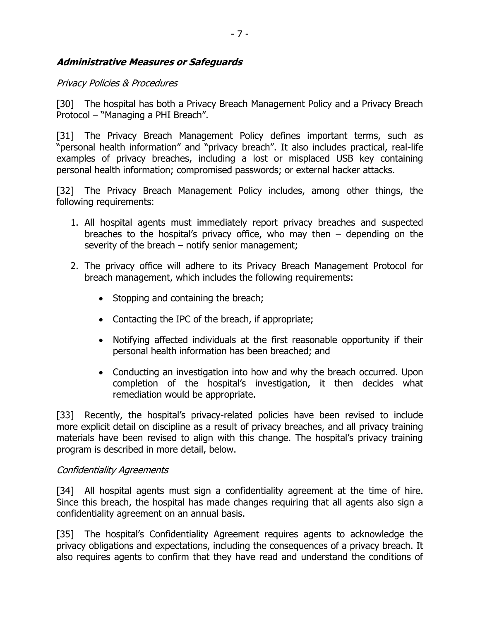#### **Administrative Measures or Safeguards**

#### Privacy Policies & Procedures

[30] The hospital has both a Privacy Breach Management Policy and a Privacy Breach Protocol – "Managing a PHI Breach".

[31] The Privacy Breach Management Policy defines important terms, such as "personal health information" and "privacy breach". It also includes practical, real-life examples of privacy breaches, including a lost or misplaced USB key containing personal health information; compromised passwords; or external hacker attacks.

[32] The Privacy Breach Management Policy includes, among other things, the following requirements:

- 1. All hospital agents must immediately report privacy breaches and suspected breaches to the hospital's privacy office, who may then  $-$  depending on the severity of the breach – notify senior management;
- 2. The privacy office will adhere to its Privacy Breach Management Protocol for breach management, which includes the following requirements:
	- Stopping and containing the breach;
	- Contacting the IPC of the breach, if appropriate;
	- Notifying affected individuals at the first reasonable opportunity if their personal health information has been breached; and
	- Conducting an investigation into how and why the breach occurred. Upon completion of the hospital's investigation, it then decides what remediation would be appropriate.

[33] Recently, the hospital's privacy-related policies have been revised to include more explicit detail on discipline as a result of privacy breaches, and all privacy training materials have been revised to align with this change. The hospital's privacy training program is described in more detail, below.

#### Confidentiality Agreements

[34] All hospital agents must sign a confidentiality agreement at the time of hire. Since this breach, the hospital has made changes requiring that all agents also sign a confidentiality agreement on an annual basis.

[35] The hospital's Confidentiality Agreement requires agents to acknowledge the privacy obligations and expectations, including the consequences of a privacy breach. It also requires agents to confirm that they have read and understand the conditions of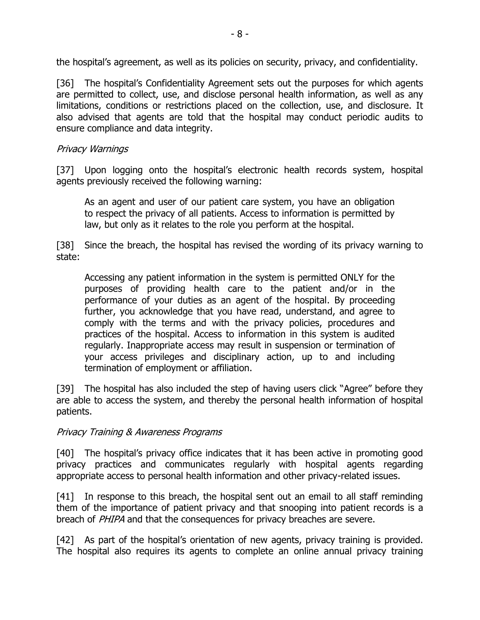the hospital's agreement, as well as its policies on security, privacy, and confidentiality.

[36] The hospital's Confidentiality Agreement sets out the purposes for which agents are permitted to collect, use, and disclose personal health information, as well as any limitations, conditions or restrictions placed on the collection, use, and disclosure. It also advised that agents are told that the hospital may conduct periodic audits to ensure compliance and data integrity.

#### Privacy Warnings

[37] Upon logging onto the hospital's electronic health records system, hospital agents previously received the following warning:

As an agent and user of our patient care system, you have an obligation to respect the privacy of all patients. Access to information is permitted by law, but only as it relates to the role you perform at the hospital.

[38] Since the breach, the hospital has revised the wording of its privacy warning to state:

Accessing any patient information in the system is permitted ONLY for the purposes of providing health care to the patient and/or in the performance of your duties as an agent of the hospital. By proceeding further, you acknowledge that you have read, understand, and agree to comply with the terms and with the privacy policies, procedures and practices of the hospital. Access to information in this system is audited regularly. Inappropriate access may result in suspension or termination of your access privileges and disciplinary action, up to and including termination of employment or affiliation.

[39] The hospital has also included the step of having users click "Agree" before they are able to access the system, and thereby the personal health information of hospital patients.

#### Privacy Training & Awareness Programs

[40] The hospital's privacy office indicates that it has been active in promoting good privacy practices and communicates regularly with hospital agents regarding appropriate access to personal health information and other privacy-related issues.

[41] In response to this breach, the hospital sent out an email to all staff reminding them of the importance of patient privacy and that snooping into patient records is a breach of PHIPA and that the consequences for privacy breaches are severe.

[42] As part of the hospital's orientation of new agents, privacy training is provided. The hospital also requires its agents to complete an online annual privacy training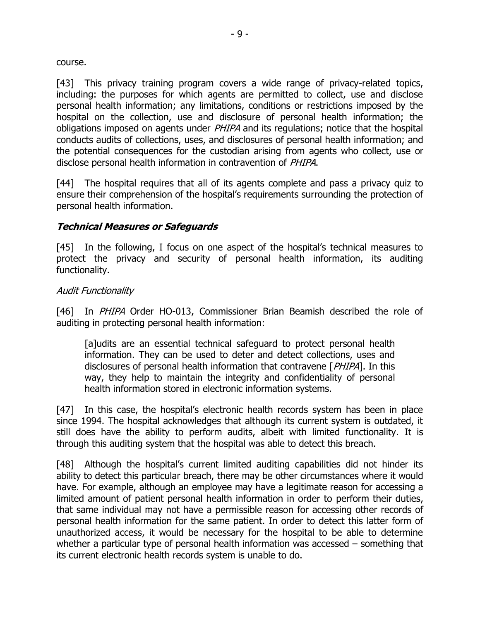course.

[43] This privacy training program covers a wide range of privacy-related topics, including: the purposes for which agents are permitted to collect, use and disclose personal health information; any limitations, conditions or restrictions imposed by the hospital on the collection, use and disclosure of personal health information; the obligations imposed on agents under *PHIPA* and its regulations; notice that the hospital conducts audits of collections, uses, and disclosures of personal health information; and the potential consequences for the custodian arising from agents who collect, use or disclose personal health information in contravention of PHIPA.

[44] The hospital requires that all of its agents complete and pass a privacy quiz to ensure their comprehension of the hospital's requirements surrounding the protection of personal health information.

#### **Technical Measures or Safeguards**

[45] In the following, I focus on one aspect of the hospital's technical measures to protect the privacy and security of personal health information, its auditing functionality.

#### Audit Functionality

[46] In *PHIPA* Order HO-013, Commissioner Brian Beamish described the role of auditing in protecting personal health information:

[a]udits are an essential technical safeguard to protect personal health information. They can be used to deter and detect collections, uses and disclosures of personal health information that contravene [PHIPA]. In this way, they help to maintain the integrity and confidentiality of personal health information stored in electronic information systems.

[47] In this case, the hospital's electronic health records system has been in place since 1994. The hospital acknowledges that although its current system is outdated, it still does have the ability to perform audits, albeit with limited functionality. It is through this auditing system that the hospital was able to detect this breach.

[48] Although the hospital's current limited auditing capabilities did not hinder its ability to detect this particular breach, there may be other circumstances where it would have. For example, although an employee may have a legitimate reason for accessing a limited amount of patient personal health information in order to perform their duties, that same individual may not have a permissible reason for accessing other records of personal health information for the same patient. In order to detect this latter form of unauthorized access, it would be necessary for the hospital to be able to determine whether a particular type of personal health information was accessed – something that its current electronic health records system is unable to do.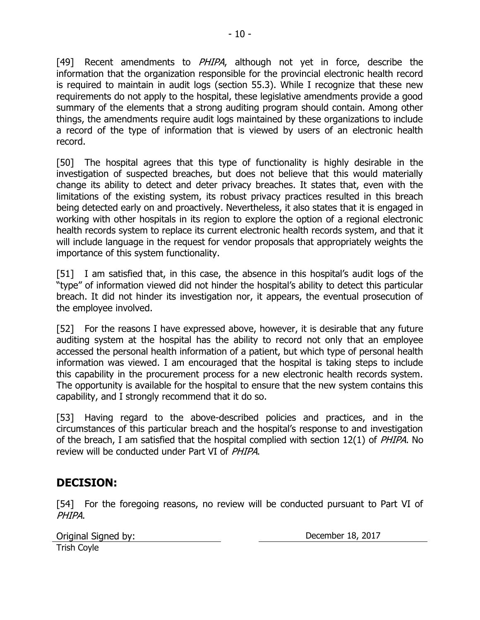[49] Recent amendments to PHIPA, although not yet in force, describe the information that the organization responsible for the provincial electronic health record is required to maintain in audit logs (section 55.3). While I recognize that these new requirements do not apply to the hospital, these legislative amendments provide a good summary of the elements that a strong auditing program should contain. Among other things, the amendments require audit logs maintained by these organizations to include a record of the type of information that is viewed by users of an electronic health record.

[50] The hospital agrees that this type of functionality is highly desirable in the investigation of suspected breaches, but does not believe that this would materially change its ability to detect and deter privacy breaches. It states that, even with the limitations of the existing system, its robust privacy practices resulted in this breach being detected early on and proactively. Nevertheless, it also states that it is engaged in working with other hospitals in its region to explore the option of a regional electronic health records system to replace its current electronic health records system, and that it will include language in the request for vendor proposals that appropriately weights the importance of this system functionality.

[51] I am satisfied that, in this case, the absence in this hospital's audit logs of the "type" of information viewed did not hinder the hospital's ability to detect this particular breach. It did not hinder its investigation nor, it appears, the eventual prosecution of the employee involved.

[52] For the reasons I have expressed above, however, it is desirable that any future auditing system at the hospital has the ability to record not only that an employee accessed the personal health information of a patient, but which type of personal health information was viewed. I am encouraged that the hospital is taking steps to include this capability in the procurement process for a new electronic health records system. The opportunity is available for the hospital to ensure that the new system contains this capability, and I strongly recommend that it do so.

[53] Having regard to the above-described policies and practices, and in the circumstances of this particular breach and the hospital's response to and investigation of the breach, I am satisfied that the hospital complied with section 12(1) of PHIPA. No review will be conducted under Part VI of PHIPA.

# **DECISION:**

[54] For the foregoing reasons, no review will be conducted pursuant to Part VI of PHIPA.

| Original Signed by: |  |
|---------------------|--|
| <b>Trish Coyle</b>  |  |

December 18, 2017